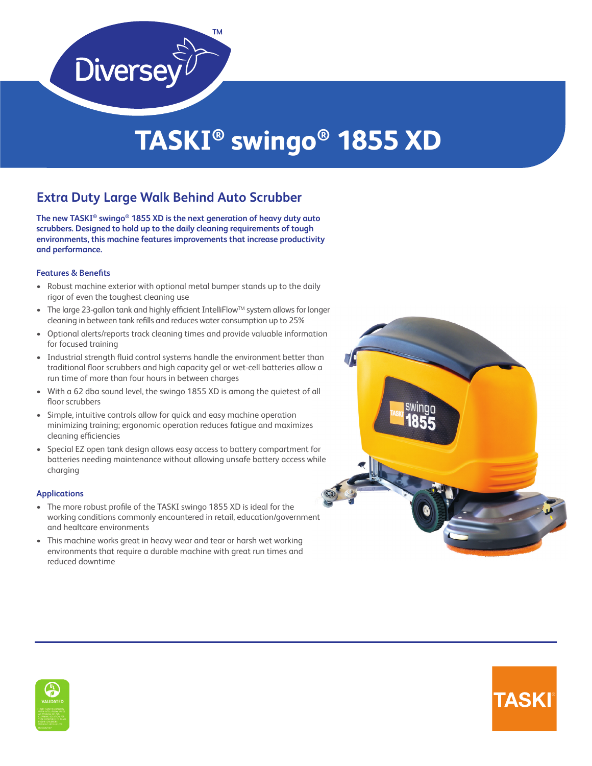

# **TASKI® swingo® 1855 XD**

### **Extra Duty Large Walk Behind Auto Scrubber**

**The new TASKI® swingo® 1855 XD is the next generation of heavy duty auto scrubbers. Designed to hold up to the daily cleaning requirements of tough environments, this machine features improvements that increase productivity and performance.**

### **Features & Benefits**

- Robust machine exterior with optional metal bumper stands up to the daily rigor of even the toughest cleaning use
- The large 23-gallon tank and highly efficient IntelliFlow<sup>TM</sup> system allows for longer cleaning in between tank refills and reduces water consumption up to 25%
- Optional alerts/reports track cleaning times and provide valuable information for focused training
- Industrial strength fluid control systems handle the environment better than traditional floor scrubbers and high capacity gel or wet-cell batteries allow a run time of more than four hours in between charges
- With a 62 dba sound level, the swingo 1855 XD is among the quietest of all floor scrubbers
- Simple, intuitive controls allow for quick and easy machine operation minimizing training; ergonomic operation reduces fatigue and maximizes cleaning efficiencies
- Special EZ open tank design allows easy access to battery compartment for batteries needing maintenance without allowing unsafe battery access while charging

### **Applications**

- The more robust profile of the TASKI swingo 1855 XD is ideal for the working conditions commonly encountered in retail, education/government and healtcare environments
- This machine works great in heavy wear and tear or harsh wet working environments that require a durable machine with great run times and reduced downtime